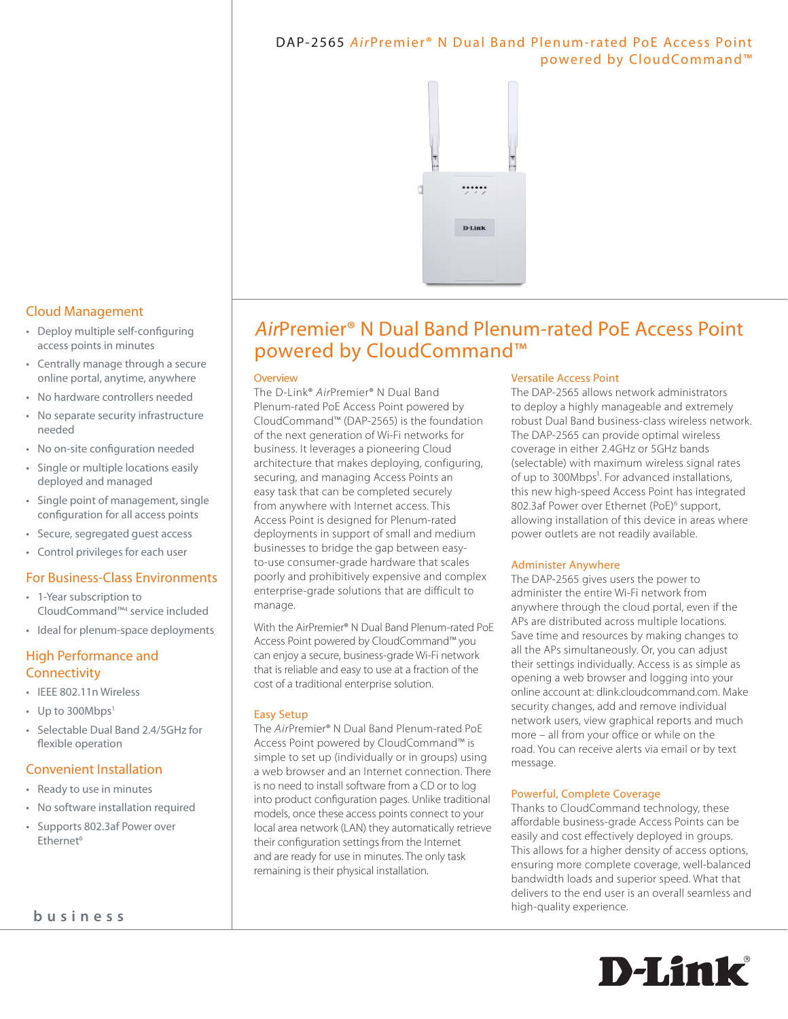# DAP-2565 AirPremier<sup>®</sup> N Dual Band Plenum-rated PoE Access Point powered by CloudCommand™



# AirPremier® N Dual Band Plenum-rated PoE Access Point powered by CloudCommand™

#### **Overview**

The D-Link® *Air*Premier® N Dual Band Plenum-rated PoE Access Point powered by CloudCommand™ (DAP-2565) is the foundation of the next generation of Wi-Fi networks for business. It leverages a pioneering Cloud architecture that makes deploying, configuring, securing, and managing Access Points an easy task that can be completed securely from anywhere with Internet access. This Access Point is designed for Plenum-rated deployments in support of small and medium businesses to bridge the gap between easyto-use consumer-grade hardware that scales poorly and prohibitively expensive and complex enterprise-grade solutions that are difficult to manage.

With the AirPremier® N Dual Band Plenum-rated PoE Access Point powered by CloudCommand™ you can enjoy a secure, business-grade Wi-Fi network that is reliable and easy to use at a fraction of the cost of a traditional enterprise solution.

### Easy Setup

The *Air*Premier® N Dual Band Plenum-rated PoE Access Point powered by CloudCommand™ is simple to set up (individually or in groups) using a web browser and an Internet connection. There is no need to install software from a CD or to log into product configuration pages. Unlike traditional models, once these access points connect to your local area network (LAN) they automatically retrieve their configuration settings from the Internet and are ready for use in minutes. The only task remaining is their physical installation.

### Versatile Access Point

The DAP-2565 allows network administrators to deploy a highly manageable and extremely robust Dual Band business-class wireless network. The DAP-2565 can provide optimal wireless coverage in either 2.4GHz or 5GHz bands (selectable) with maximum wireless signal rates of up to 300Mbps<sup>1</sup>. For advanced installations, this new high-speed Access Point has integrated 802.3af Power over Ethernet (PoE)<sup>6</sup> support, allowing installation of this device in areas where power outlets are not readily available.

#### Administer Anywhere

The DAP-2565 gives users the power to administer the entire Wi-Fi network from anywhere through the cloud portal, even if the APs are distributed across multiple locations. Save time and resources by making changes to all the APs simultaneously. Or, you can adjust their settings individually. Access is as simple as opening a web browser and logging into your online account at: dlink.cloudcommand.com. Make security changes, add and remove individual network users, view graphical reports and much more – all from your office or while on the road. You can receive alerts via email or by text message.

#### Powerful, Complete Coverage

Thanks to CloudCommand technology, these affordable business-grade Access Points can be easily and cost effectively deployed in groups. This allows for a higher density of access options, ensuring more complete coverage, well-balanced bandwidth loads and superior speed. What that delivers to the end user is an overall seamless and high-quality experience.



## Cloud Management

- • Deploy multiple self-configuring access points in minutes
- • Centrally manage through a secure online portal, anytime, anywhere
- • No hardware controllers needed
- • No separate security infrastructure needed
- • No on-site configuration needed
- • Single or multiple locations easily deployed and managed
- • Single point of management, single configuration for all access points
- • Secure, segregated guest access
- • Control privileges for each user

### For Business-Class Environments

- • 1-Year subscription to CloudCommand™4 service included
- • Ideal for plenum-space deployments

# High Performance and **Connectivity**

- • IEEE 802.11n Wireless
- Up to 300Mbps<sup>1</sup>
- • Selectable Dual Band 2.4/5GHz for flexible operation

### Convenient Installation

- • Ready to use in minutes
- • No software installation required
- • Supports 802.3af Power over Ethernet<sup>6</sup>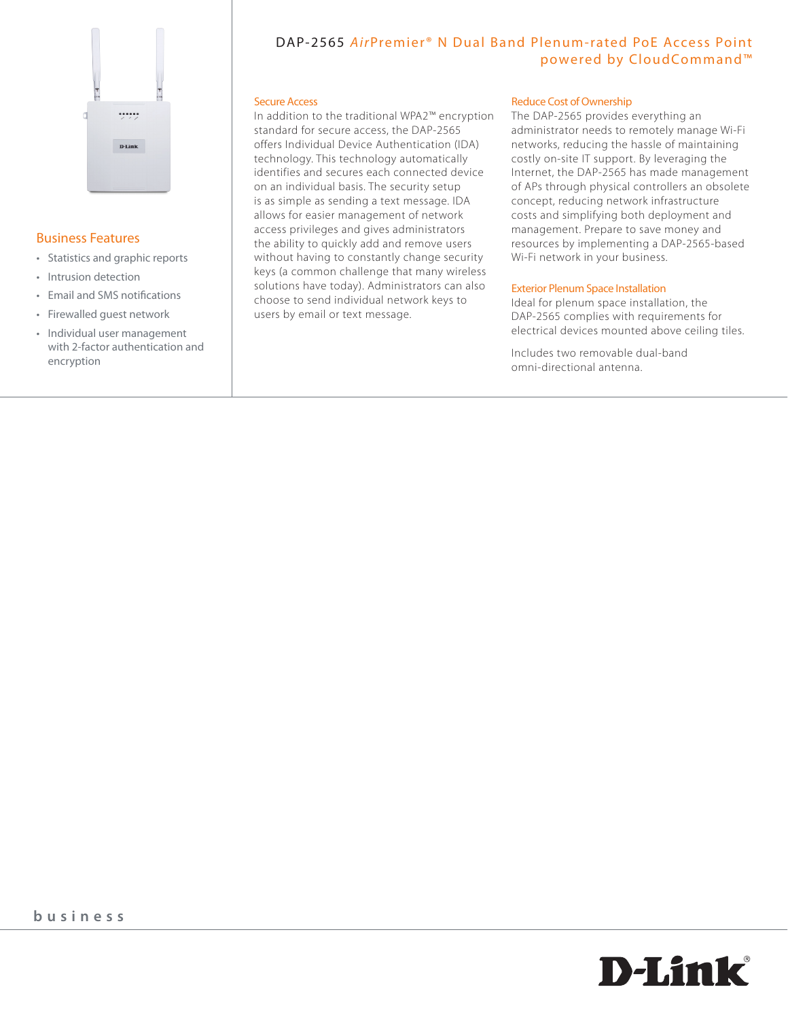

### Business Features

- • Statistics and graphic reports
- • Intrusion detection
- • Email and SMS notifications
- • Firewalled guest network
- • Individual user management with 2-factor authentication and encryption

# DAP-2565 AirPremier<sup>®</sup> N Dual Band Plenum-rated PoE Access Point powered by CloudCommand™

#### Secure Access

In addition to the traditional WPA2™ encryption standard for secure access, the DAP-2565 offers Individual Device Authentication (IDA) technology. This technology automatically identifies and secures each connected device on an individual basis. The security setup is as simple as sending a text message. IDA allows for easier management of network access privileges and gives administrators the ability to quickly add and remove users without having to constantly change security keys (a common challenge that many wireless solutions have today). Administrators can also choose to send individual network keys to users by email or text message.

#### **Reduce Cost of Ownership**

The DAP-2565 provides everything an administrator needs to remotely manage Wi-Fi networks, reducing the hassle of maintaining costly on-site IT support. By leveraging the Internet, the DAP-2565 has made management of APs through physical controllers an obsolete concept, reducing network infrastructure costs and simplifying both deployment and management. Prepare to save money and resources by implementing a DAP-2565-based Wi-Fi network in your business.

#### Exterior Plenum Space Installation

Ideal for plenum space installation, the DAP-2565 complies with requirements for electrical devices mounted above ceiling tiles.

Includes two removable dual-band omni-directional antenna.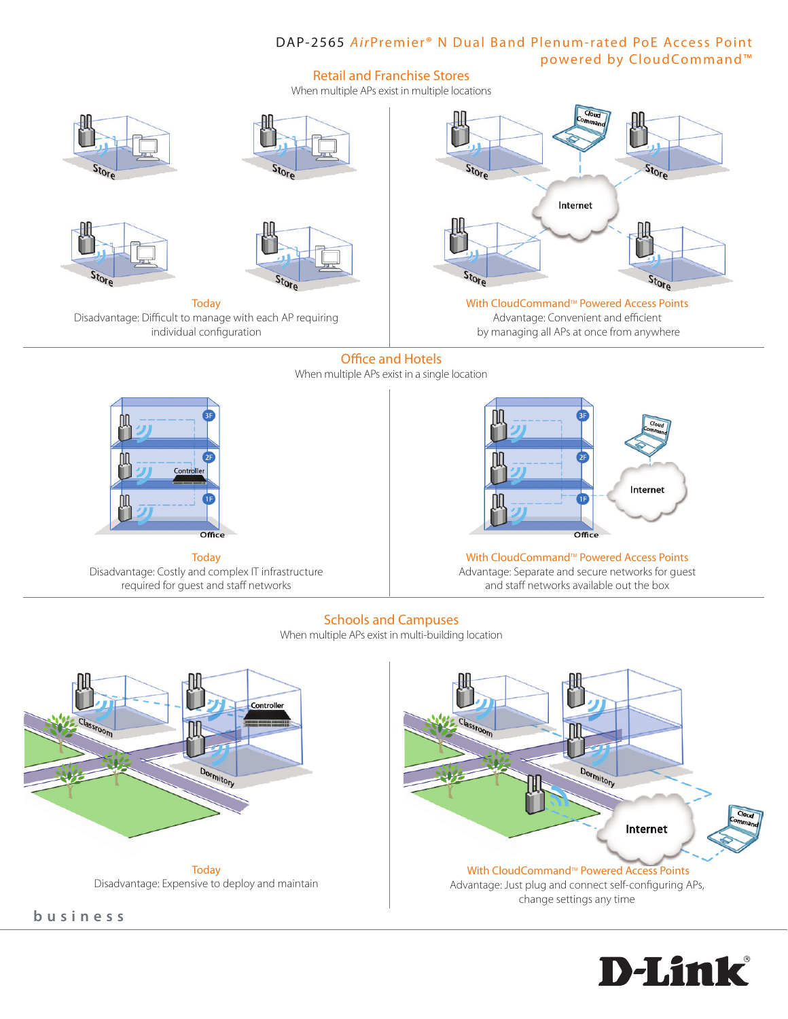# DAP-2565 AirPremier<sup>®</sup> N Dual Band Plenum-rated PoE Access Point powered by CloudCommand™

### Retail and Franchise Stores

When multiple APs exist in multiple locations





**Today** Disadvantage: Costly and complex IT infrastructure required for guest and staff networks



With CloudCommand<sup>™</sup> Powered Access Points Advantage: Separate and secure networks for guest and staff networks available out the box

### Schools and Campuses

When multiple APs exist in multi-building location



**b u s i n e s s**